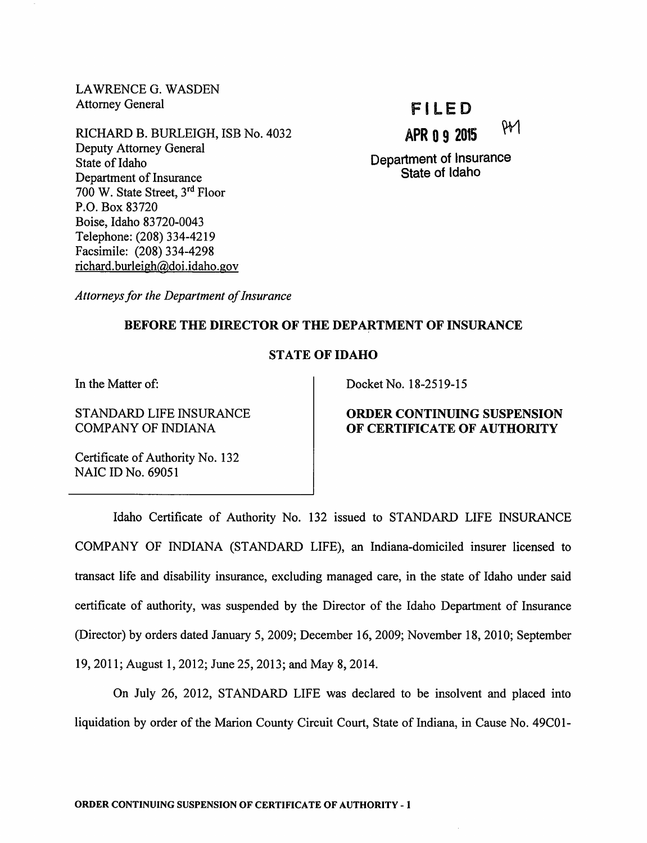LAWRENCE G. WASDEN Attorney General

RICHARD B. BURLEIGH, ISB No. 4032 Deputy Attorney General State of Idaho Department of Insurance 700 W. State Street, 3<sup>rd</sup> Floor P.O. Box 83720 Boise, Idaho 83720-0043 Telephone: (208) 334-4219 Facsimile: (208) 334-4298 richard.burleigh@doi.idaho.gov

# FILED

APR 0 9 2015  $\frac{91}{1}$ 

Department of Insurance State of Idaho

Attorneys for the Department of Insurance

### BEFORE THE DIRECTOR OF THE DEPARTMENT OF INSURANCE

## STATE OF IDAHO

In the Matter of:

STANDARD LIFE INSURANCE COMPANY OF INDIANA

Docket No. 18-2519-15

# ORDER CONTINUING SUSPENSION OF CERTIFICATE OF AUTHORITY

Certificate of Authority No. 132 NAIC ID No. 69051

Idaho Certificate of Authority No. 132 issued to STANDARD LIFE INSURANCE COMPANY OF INDIANA (STANDARD LIFE), an Indiana-domiciled insurer licensed to transact life and disability insurance, excluding managed care, in the state of Idaho under said certificate of authority, was suspended by the Director of the Idaho Department of Insurance (Director) by orders dated January 5, 2009; December 16, 2009; November 18, 2010; September 19, 2011; August 1,2012; June 25, 2013; and May 8, 2014.

On July 26, 2012, STANDARD LIFE was declared to be insolvent and placed into liquidation by order of the Marion County Circuit Court, State of Indiana, in Cause No. 49C01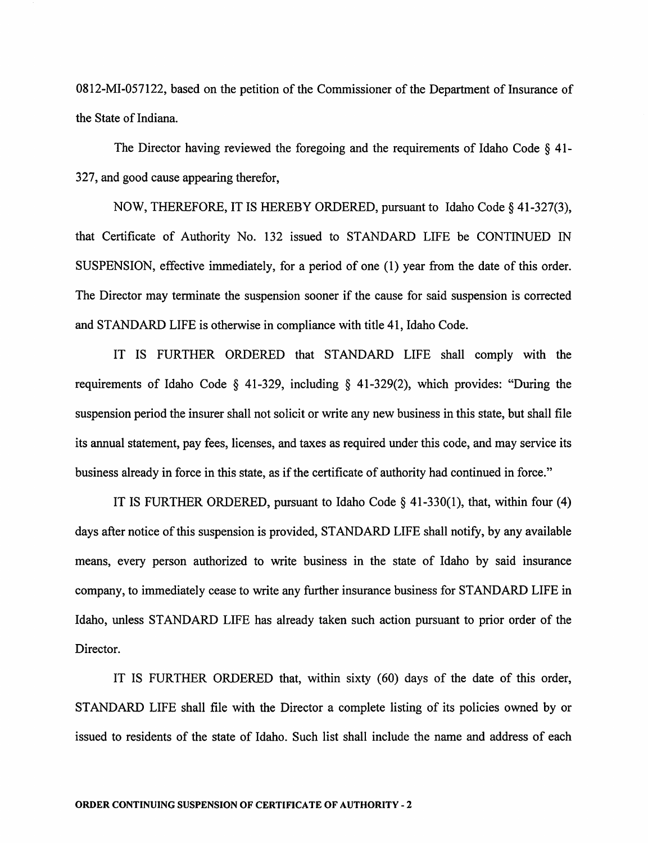0812-MI-057122, based on the petition of the Commissioner of the Department of Insurance of the State of Indiana.

The Director having reviewed the foregoing and the requirements of Idaho Code § 41-327, and good cause appearing therefor,

NOW, THEREFORE, IT IS HEREBY ORDERED, pursuant to Idaho Code § 41-327(3), that Certificate of Authority No. 132 issued to STANDARD LIFE be CONTINUED IN SUSPENSION, effective immediately, for a period of one (1) year from the date of this order. The Director may terminate the suspension sooner if the cause for said suspension is corrected and STANDARD LIFE is otherwise in compliance with title 41, Idaho Code.

IT IS FURTHER ORDERED that STANDARD LIFE shall comply with the requirements of Idaho Code § 41-329, including § 41-329(2), which provides: "During the suspension period the insurer shall not solicit or write any new business in this state, but shall file its annual statement, pay fees, licenses, and taxes as required under this code, and may service its business already in force in this state, as if the certificate of authority had continued in force."

IT IS FURTHER ORDERED, pursuant to Idaho Code § 41-330(1), that, within four (4) days after notice of this suspension is provided, STANDARD LIFE shall notify, by any available means, every person authorized to write business in the state of Idaho by said insurance company, to immediately cease to write any further insurance business for STANDARD LIFE in Idaho, unless STANDARD LIFE has already taken such action pursuant to prior order of the Director.

IT IS FURTHER ORDERED that, within sixty (60) days of the date of this order, STANDARD LIFE shall file with the Director a complete listing of its policies owned by or issued to residents of the state of Idaho. Such list shall include the name and address of each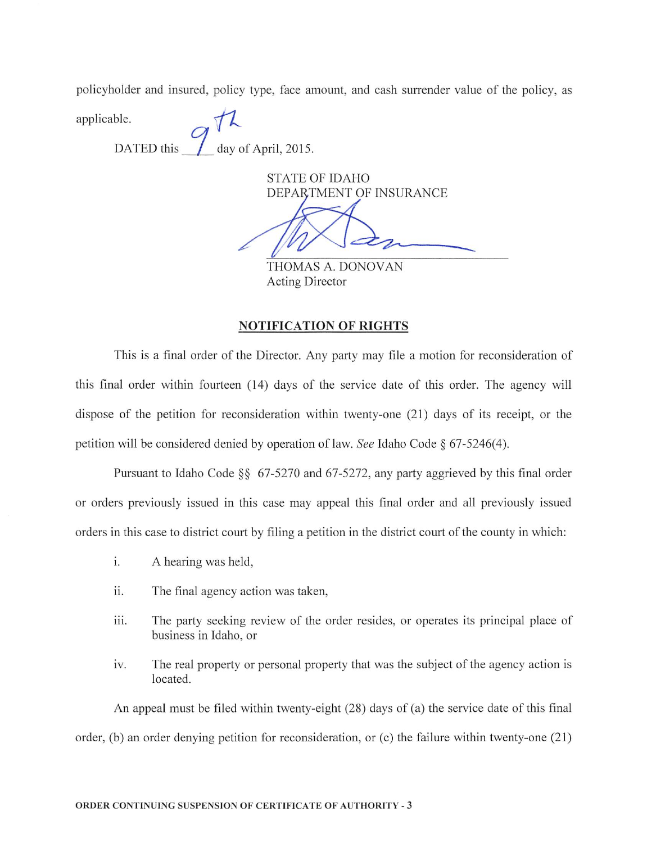policyholder and insured, policy type, face amount, and cash surrender value of the policy, as

applicable.<br>DATED this  $\frac{1}{\sqrt{2}}$  day of April, 2015.

STATE OF IDAHO DEPARTMENT OF INSURANCE

THOMAS A. DONOVAN Acting Director

### NOTIFICATION OF RIGHTS

This is a final order of the Director. Any party may file a motion for reconsideration of this final order within fourteen (14) days of the service date of this order. The agency will dispose of the petition for reconsideration within twenty-one (21) days of its receipt, or the petition will be considered denied by operation of law. See Idaho Code  $\S$  67-5246(4).

Pursuant to Idaho Code §§ 67-5270 and 67-5272, any party aggrieved by this final order or orders previously issued in this case may appeal this final order and all previously issued orders in this case to district court by filing a petition in the district court of the county in which:

- i. A hearing was held,
- ii. The final agency action was taken,
- iii. The party seeking review of the order resides, or operates its principal place of business in Idaho, or
- iv. The real property or personal property that was the subject of the agency action is located.

An appeal must be filed within twenty-eight (28) days of (a) the service date of this final order, (b) an order denying petition for reconsideration, or (c) the failure within twenty-one (21)